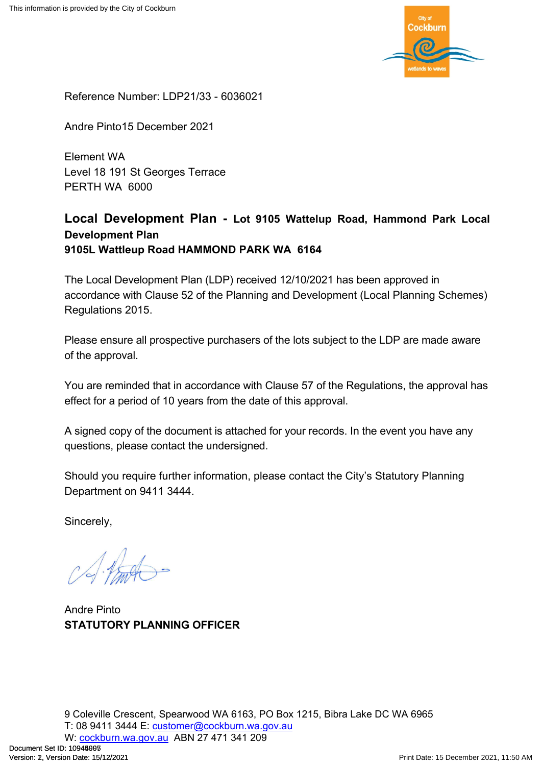

Reference Number: LDP21/33 - 6036021

Andre Pinto15 December 2021

Element WA Level 18 191 St Georges Terrace PERTH WA 6000

# **Local Development Plan - Lot 9105 Wattelup Road, Hammond Park Local Development Plan 9105L Wattleup Road HAMMOND PARK WA 6164**

The Local Development Plan (LDP) received 12/10/2021 has been approved in accordance with Clause 52 of the Planning and Development (Local Planning Schemes) Regulations 2015.

Please ensure all prospective purchasers of the lots subject to the LDP are made aware of the approval.

You are reminded that in accordance with Clause 57 of the Regulations, the approval has effect for a period of 10 years from the date of this approval.

A signed copy of the document is attached for your records. In the event you have any questions, please contact the undersigned.

Should you require further information, please contact the City's Statutory Planning Department on 9411 3444.

Sincerely,

Andre Pinto **STATUTORY PLANNING OFFICER**